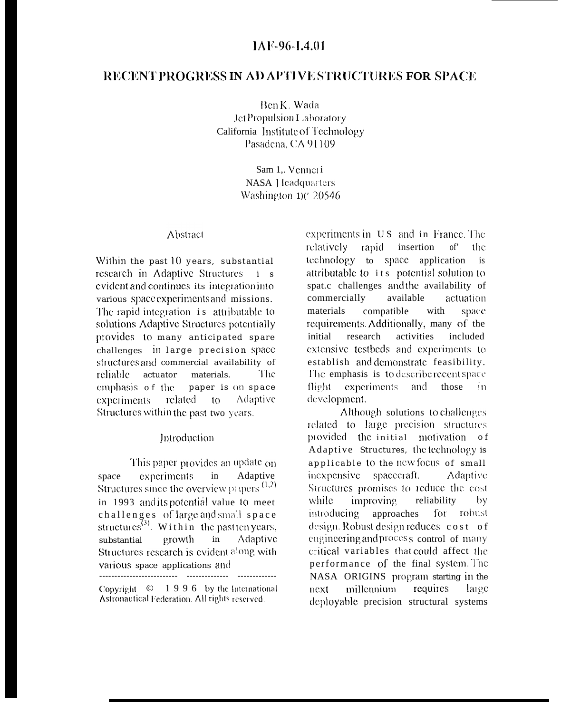# RECENT PROGRESS IN AD APTIVE STRUCTURES FOR SPACE

Ben K. Wada JetPropulsion Laboratory California Institute of Technology Pasadena, CA 91109

> Sam 1,. Venneri NASA 1 leadquarters Washington 1)( 20546

#### Abstract

Within the past 10 years, substantial research in Adaptive Structures i s evident and continues its integration into various space experiments and missions. The rapid integration is attributable to solutions Adaptive Structures potentially provides to many anticipated spare challenges in large precision space structures and commercial availability of reliable actuator materials. The. emphasis of the paper is On space related to Adaptive experiments Structures within the past two years.

### Introduction

This paper provides an update on experiments  $in$ Adaptive space Structures since the overview papers  $(1,2)$ in 1993 and its potential value to meet challenges of large and small space structures<sup> $(3)$ </sup>. Within the past ten years, Adaptive growth  $in$ substantial Structures research is evident along with various space applications and 

Copyright  $\circ$  1996 by the International Astronautical Federation. All rights reserved.

experiments in US and in France. The relatively rapid insertion of' the technology to space application  $\overline{\phantom{a}}$  is attributable to its potential solution to spat.c challenges and the availability of commercially available actuation with materials compatible space. requirements. Additionally, many of the activities initial research included extensive testbeds and experiments to establish and demonstrate feasibility. The emphasis is to describe recent space flight. experiments and those in development.

Although solutions to challenges related to large precision structures provided the initial motivation of Adaptive Structures, the technology is applicable to the new focus of small inexpensive spacecraft. **Adaptive** Structures promises to reduce the cost while improving. reliability  $by$ introducing approaches for robust design. Robust design reduces cost of engineering and process control of many critical variables that could affect the performance of the final system. The NASA ORIGINS program starting in the millennium requires next larec deployable precision structural systems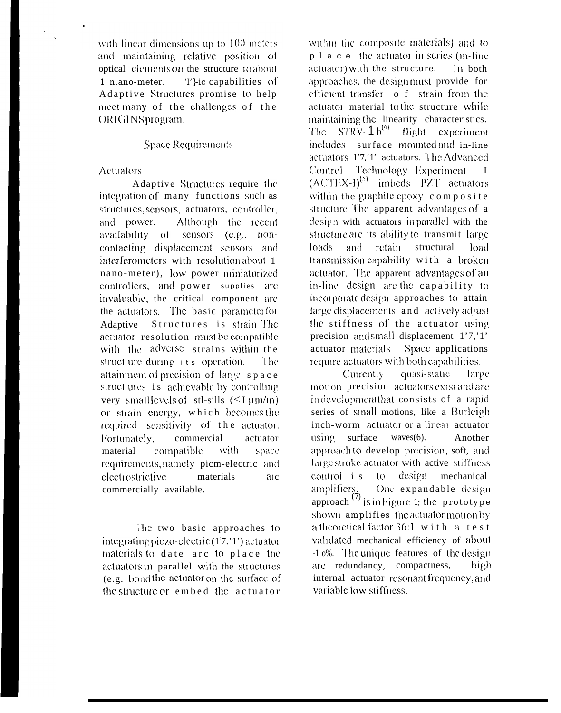with linear dimensions up to 100 meters. and maintaining relative position of optical elements on the structure to about  $1$  n ano-meter T<sub>1</sub>-ic capabilities of Adaptive Structures promise to help meet many of the challenges of the ORIGINSprogram.

## **Space Requirements**

#### **Actuators**

Adaptive Structures require the integration of many functions such as structures, sensors, actuators, controller, and power. Although the recent availability of sensors (e.g., noncontacting displacement sensors and interferometers with resolution about 1 nano-meter), low power miniaturized controllers, and power supplies are invaluable, the critical component are the actuators. The basic parameter for Adaptive Structures is strain. The actuator resolution must be compatible with the adverse strains within the struct ure during its operation. The: attainment of precision of large space struct ures is achievable by controlling very small levels of stl-sills  $(51 \mu m/m)$ or strain energy, which becomes the required sensitivity of the actuator. actuator Fortunately, commercial material compatible with space requirements, namely picm-electric and electrostrictive materials  $\overline{a}$  ic commercially available.

The two basic approaches to integrating piezo-electric (1'7.'1') actuator materials to date arc to place the actuators in parallel with the structures (e.g. bond the actuator on the surface of the structure or embed the actuator

within the composite materials) and to p 1 a c e the actuator in series (in-line actuator) with the structure. In both approaches, the designmust provide for efficient transfer o f strain from the actuator material to the structure while maintaining the linearity characteristics. The STRV-  $1 b^{(4)}$ flight experiment includes surface mounted and in-line actuators 1'7,'1' actuators. The Advanced Control Technology Experiment  $\mathbf{I}$  $(ACTEX-I)<sup>(5)</sup>$  imbeds PZT actuators within the graphite epoxy composite structure. The apparent advantages of a design with actuators inparallel with the structure are its ability to transmit large loads and retain structural load transmission capability with a broken actuator. The apparent advantages of an in-line design are the capability to incorporate design approaches to attain large displacements and actively adjust the stiffness of the actuator using precision and small displacement 1'7,'1' actuator materials. Space applications require actuators with both capabilities.

quasi-static Currently large motion precision actuators exist and are indevelopment that consists of a rapid series of small motions, like a Burleigh inch-worm actuator or a linear actuator using surface  $waves(6)$ . Another approach to develop precision, soft, and large stroke actuator with active stiffness control i s to design mechanical One expandable design amplifiers. approach<sup>(7)</sup> is in Figure 1; the prototype shown amplifies the actuator motion by a theoretical factor 36:1 with a test validated mechanical efficiency of about -1 0%. The unique features of the design are redundancy, compactness, high. internal actuator resonant frequency, and variable low stiffness.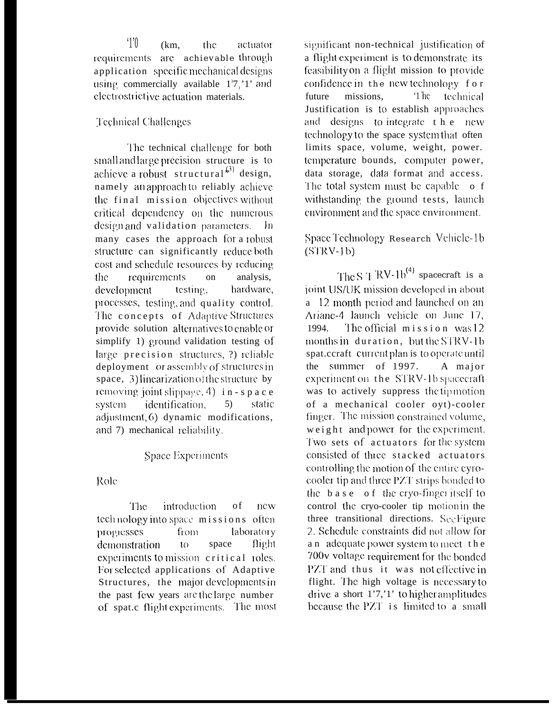$^{\prime}$  1'0  $(km,$ the actuator requirements are achievable through application specific mechanical designs using commercially available  $17$ ,  $1'$  and electrostrictive actuation materials.

## Technical Challenges

The technical challenge for both small and large precision structure is to achieve a robust structural<sup> $(3)$ </sup> design, namely an approach to reliably achieve the final mission objectives without critical dependency on the numerous design and validation parameters.  $\ln$ many cases the approach for a robust structure can significantly reduce both cost and schedule resources by reducing the. *requirements* on analysis. hardware, development testing, processes, testing, and quality control. The concepts of Adaptive Structures provide solution alternatives to enable or simplify 1) ground validation testing of large precision structures, ?) reliable deployment or assembly of structures in space, 3) linearization of the structure by removing joint slippage, 4) in - s  $p$  a c e identification. static system  $5)$ adjustment, 6) dynamic modifications, and 7) mechanical reliability.

# Space Experiments

Role

The<sup>1</sup> *introduction* of new technology into space missions often from. laboratory **progresses** demonstration space flight  $10<sup>°</sup>$ experiments to mission critical roles. For selected applications of Adaptive Structures, the major developments in the past few years are the large number of spat.c flight experiments. The most significant non-technical justification of a flight experiment is to demonstrate its feasibility on a flight mission to provide confidence in the new technology for  $1<sup>h</sup>$ future missions. technical Justification is to establish approaches and designs to integrate the new technology to the space system that often limits space, volume, weight, power. temperature bounds, computer power, data storage, data format and access. The total system must be capable o f withstanding the ground tests, launch environment and the space environment.

# Space Technology Research Vehicle-1b  $(STRV-1<sub>b</sub>)$

The S  $1 \text{ RV-1b}^{(4)}$  spacecraft is a joint US/UK mission developed in about a 12 month period and launched on an Ariane-4 launch vehicle on June 17. The official mission was 12 1994. months in duration, but the STRV-1b spat.ccraft current plan is to operate until the summer of 1997. A maior experiment on the STRV-1b spacecraft was to actively suppress the tipmotion of a mechanical cooler oyt)-cooler finger. The mission constrained volume, weight and power for the experiment. Two sets of actuators for the system consisted of three stacked actuators controlling the motion of the entire cyrocooler tip and three PZT strips bonded to the base of the cryo-finger itself to control the cryo-cooler tip motionin the three transitional directions. See Figure 2. Schedule constraints did not allow for an adequate power system to meet the 700v voltage requirement for the bonded PZT and thus it was not effective in flight. The high voltage is necessary to drive a short 1'7,'1' to higher amplitudes because the PZT is limited to a small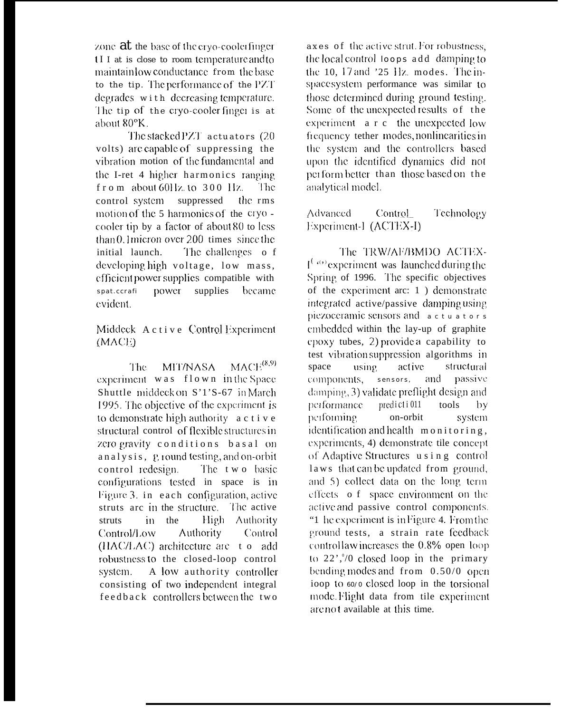zone  $at$  the base of the cryo-cooler finger II I at is close to room temperature and to maintain low conductance from the base to the tip. The performance of the PZT degrades with decreasing temperature. The tip of the cryo-cooler finger is at about 80°K.

The stacked PZT actuators (20) volts) are capable of suppressing the vibration motion of the fundamental and the I-ret 4 higher harmonics ranging  $f$ r o m about 60Hz. to 300 Hz. The. control system suppressed the rms motion of the 5 harmonics of the cryo cooler tip by a factor of about 80 to less than  $0.1$  micron over 200 times since the initial launch. The challenges of developing high voltage, low mass, efficient power supplies compatible with power supplies spat.ccrafi became evident.

## Middeck Active Control Experiment  $(MACE)$

 $MACE^{(8,9)}$ MIT/NASA The: experiment was flown in the Space Shuttle middeck on S'1'S-67 in March 1995. The objective of the experiment is to demonstrate high authority a c t i v e structural control of flexible structures in zero gravity conditions basal on analysis, ground testing, and on-orbit control redesign. The two basic configurations tested in space is in Figure 3. in each configuration, active struts are in the structure. The active High Authority struts in the Control/Low **Authority** Control (HAC/LAC) architecture are to add robustness to the closed-loop control A low authority controller system. consisting of two independent integral feedback controllers between the two

axes of the active strut. For robustness, the local control toops add damping to the 10, 17 and '25 Hz. modes. The inspacesystem performance was similar to those determined during ground testing. Some of the unexpected results of the experiment a r c the unexpected low frequency tether modes, nonlinearities in the system and the controllers based upon the identified dynamics did not perform better than those based on the analytical model.

Control\_ **Advanced** Technology Experiment-1 (ACTEX-I)

The TRW/AF/BMDO ACTEX- $I^{(\alpha)}$  experiment was launched during the Spring of 1996. The specific objectives of the experiment arc: 1) demonstrate integrated active/passive damping using piezoceramic sensors and actuators embedded within the lay-up of graphite epoxy tubes, 2) provide a capability to test vibration suppression algorithms in space using active structural components, sensors, and passive damping, 3) validate preflight design and performance predicti 011 tools  $\mathbf{b}$ performing. on-orbit system identification and health monitoring, experiments, 4) demonstrate tile concept of Adaptive Structures using control laws that can be updated from ground, and 5) collect data on the long term effects of space environment on the active and passive control components. "1 he experiment is in Figure 4. From the ground tests, a strain rate feedback controllaw increases the 0.8% open loop to  $22$ <sup>0</sup>,<sup>0</sup>/0 closed loop in the primary bending modes and from  $0.50/0$  open ioop to 60/0 closed loop in the torsional mode. Flight data from tile experiment are not available at this time.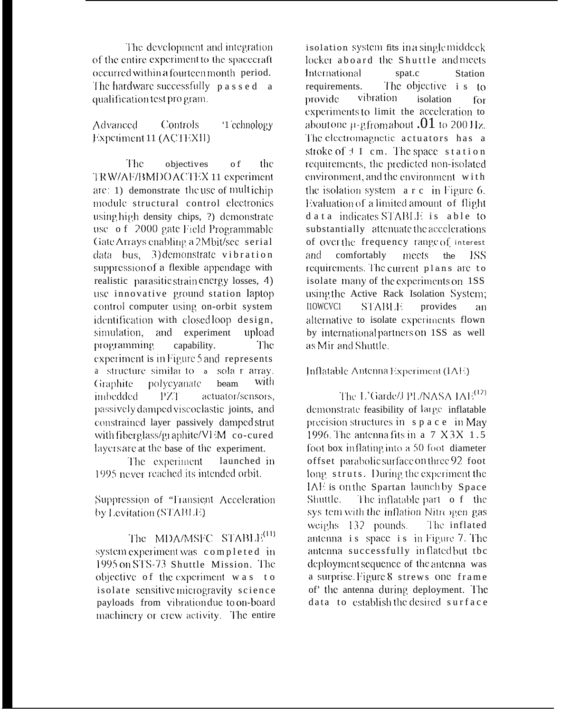The development and integration of the entire experiment to the spacecraft occurred within a fourteen month period. The hardware successfully  $p$  as  $s$  e d  $a$ qualification test program.

Advanced Controls '1 cchnology Experiment 11 (ACTEXII)

The objectives o f the TRW/AF/BMDO ACTEX 11 experiment are: 1) demonstrate the use of multichip module structural control electronics using high density chips, ?) demonstrate use of 2000 gate Field Programmable Gate Arrays enabling a 2Mbit/sec serial data bus, 3) demonstrate vibration suppression of a flexible appendage with realistic parasitic strain energy losses, 4) use innovative ground station laptop control computer using on-orbit system identification with closedloop design, simulation, and experiment upload programming capability. The experiment is in Figure 5 and represents a structure similar to a solar array. with **Graphite** polycyanate heam imbedded PZT actuator/sensors, passively damped viscoclastic joints, and constrained layer passively damped strut with fiberglass/graphite/VEM co-cured layers are at the base of the experiment.

The experiment launched in 1995 never reached its intended orbit.

Suppression of "Transient Acceleration by Levitation (STABLE)

The MDA/MSFC STABLE<sup>(11)</sup> system experiment was completed in 1995 on STS-73 Shuttle Mission. The objective of the experiment was to isolate sensitive microgravity science payloads from vibration due to on-board machinery or crew activity. The entire

isolation system fits in a single middeck locker aboard the Shuttle and meets International spat.c Station The objective i s to requirements. vibration provide isolation for experiments to limit the acceleration to about one  $\mu$ -g from about .01 to 200 Hz. The electromagnetic actuators has a stroke of  $\pm$  I cm. The space station requirements, the predicted non-isolated environment, and the environment with the isolation system a r c in Figure 6. Evaluation of a limited amount of flight d a t a indicates STABLE is able to substantially attenuate the accelerations of over the frequency range of interest comfortably and meets the -ISSrequirements. The current plans are to isolate many of the experiments on 1SS using the Active Rack Isolation System; I10WCVC1 **STABLE** provides an alternative to isolate experiments flown by international partners on 1SS as well as Mir and Shuttle.

# Inflatable Antenna Experiment (IAE)

The L'Garde/J PL/NASA IAE<sup>(12)</sup> demonstrate feasibility of large inflatable precision structures in  $s$  p  $a$  c  $e$  in May 1996. The antenna fits in  $a$  7  $X$  3 $X$  1.5 foot box inflating into a 50 foot diameter offset parabolic surface on three 92 foot long struts. During the experiment the IAE is on the Spartan launch by Space Shuttle. The inflatable part of the sys tem with the inflation Nitrongen gas weighs  $132$  pounds. The inflated antenna is space is in Figure 7. The antenna successfully inflated but tbc deployment sequence of the antenna was a surprise. Figure 8 strews one frame of' the antenna during deployment. The data to establish the desired surface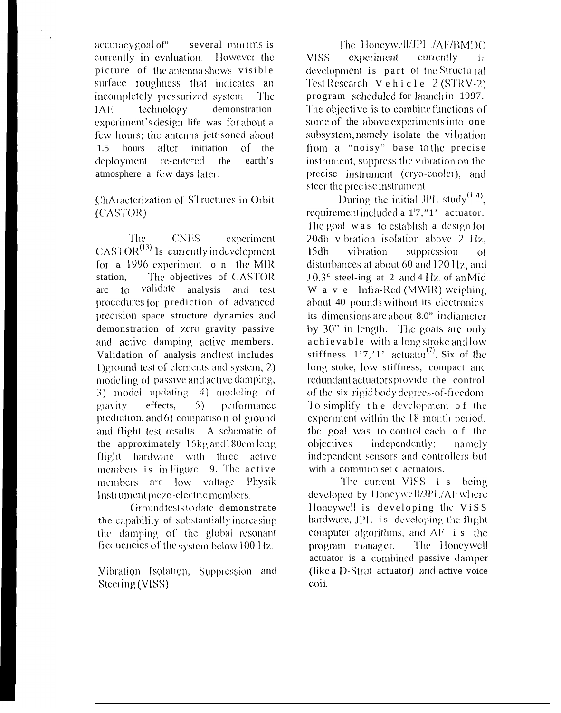accuracy goal of" several mm rms is currently in evaluation. However the picture of the antenna shows visible surface roughness that indicates an incompletely pressurized system. The IAE. technology demonstration experiment's design life was for about a few hours; the antenna jettisoned about after initiation  $1.5$ hours  $of$  the earth's deployment re-entered the atmosphere a few days later.

## ChAracterization of STructures in Orbit (CASTOR)

The **CNES** experiment  $CASTOR<sup>(13)</sup>$  Is currently indevelopment for a 1996 experiment o n the MIR The objectives of CASTOR station. arc to validate analysis and test procedures for prediction of advanced precision space structure dynamics and demonstration of zero gravity passive and active damping active members. Validation of analysis and test includes Deround test of elements and system, 2) modeling of passive and active damping, 3) model updating, 4) modeling of performance gravity effects,  $5)$ prediction, and 6) comparison of ground and flight test results. A schematic of the approximately 15kg and 180cm long flight hardware with three active members is in Figure 9. The active members are low voltage Physik Instrument piezo-electric members.

Groundteststodate demonstrate the capability of substantially increasing the damping of the global resonant frequencies of the system below 100 Hz.

Vibration Isolation, Suppression and Steering (VISS)

The Honeywell/JPL /AF/BMDO **VISS** experiment currently in development is part of the Structural Test Research  $Vehicle 2 (STRV-2)$ program scheduled for launch in 1997. The objective is to combine functions of some of the above experiments into one subsystem, namely isolate the vibration from a "noisy" base to the precise instrument, suppress the vibration on the precise instrument (cryo-cooler), and steer the precise instrument.

During the initial JPL study<sup>(1-4)</sup>, requirement included a 1'7,"1' actuator. The goal was to establish a design for 20db vibration isolation above 2 Hz,  $15db$ vibration suppression  $\alpha$ f disturbances at about 60 and 120 Hz, and  $\pm 0.3^{\circ}$  steel-ing at 2 and 4 Hz of an Mid W a v e lnfra-Red (MWIR) weighing about 40 pounds without its electronics. its dimensions are about 8.0" in diameter by 30" in length. The goals are only achievable with a long stroke and low stiffness  $1'7,'1'$  actuator<sup>(7)</sup>. Six of the long stoke, low stiffness, compact and redundant actuators provide the control of the six rigidbody degrees-of-freedom. To simplify the development of the experiment within the 18 month period, the goal was to control each of the objectives independently; namely independent sensors and controllers but with a common set c actuators.

The current VISS i s being developed by Honeywell/JPL/AF where Honeywell is developing the ViSS hardware, JPL is developing the flight computer algorithms, and  $AF$  i s the program manager. The Honeywell actuator is a combined passive damper (like a D-Strut actuator) and active voice coii.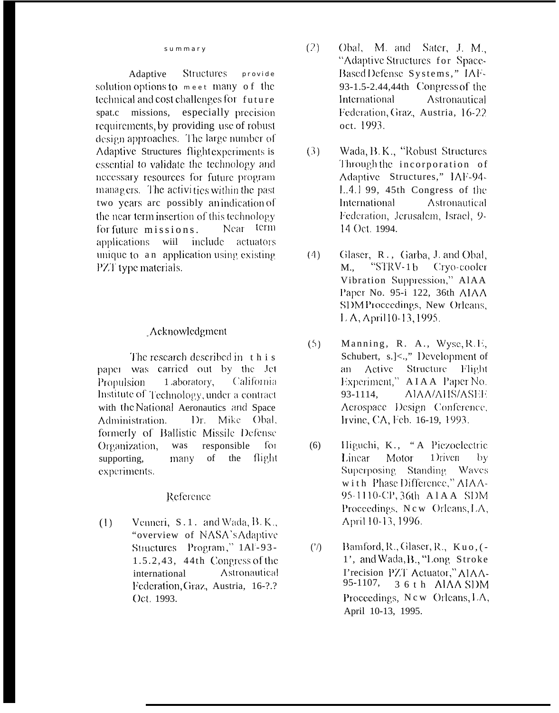#### summary

Structures Adaptive provide solution options to meet many of the technical and cost challenges for future spat.c missions, especially precision requirements, by providing use of robust design approaches. The large number of Adaptive Structures flight experiments is essential to validate the technology and necessary resources for future program managers. The activities within the past two years are possibly an indication of the near term insertion of this technology Near term for future missions. include actuators applications wiil unique to an application using existing PZT type materials.

#### Acknowledgment

The research described in this paper was carried out by the Jet 1 aboratory, California Propulsion Institute of Technology, under a contract with the National Aeronautics and Space Dr. Mike Obal, Administration. formerly of Ballistic Missile Defense Organization, was responsible  $f_{O1}$ supporting, many of the flight experiments.

#### Reference

 $(1)$ Venneri,  $S.1$ . and Wada,  $B. K.$ "overview of NASA's Adaptive Structures Program," 1AI-93- $1.5.2, 43$ ,  $44th$  Congress of the Astronautical international Federation, Graz, Austria, 16-?.? Oct. 1993.

- $(2)$ Obal, M. and Sater, J. M., "Adaptive Structures for Space-Based Defense Systems," IAF-93-1.5-2.44,44th Congress of the International Astronautical Federation, Graz, Austria, 16-22 oct. 1993.
- $(3)$ Wada, B. K., "Robust Structures Through the incorporation of Adaptive Structures," IAF-94-1.4.1 99, 45th Congress of the International Astronautical Federation, Jerusalem, Israel, 9-14 Oct. 1994.
- $(4)$ Glaser, R., Garba, J. and Obal, M., "STRV-1b Cryo-cooler Vibration Suppression," AIAA Paper No. 95-i 122, 36th AIAA SDMProceedings, New Orleans, L.A, April 10-13, 1995.
- Manning, R. A., Wyse, R.E.  $(5)$ Schubert, s.]<.," Development of Active Structure Flight an Experiment," AIAA Paper No. 93-1114. AIAA/AHS/ASEE Aerospace Design Conference, Irvine, CA, Feb. 16-19, 1993.
- $(6)$ Higuchi, K., "A Piezoelectric Linear Motor 1) riven  $by$ Superposing Standing Waves with Phase Difference," AIAA-95-1110-CP, 36th A1AA SDM Proceedings, New Orleans, LA, April 10-13, 1996.
- $(')$ Bamford, R., Glaser, R., Kuo, (-1', and Wada, B., "Long Stroke Precision PZT Actuator," AIAA-95-1107, 36th AIAA SDM Proceedings, New Orleans, LA, April 10-13, 1995.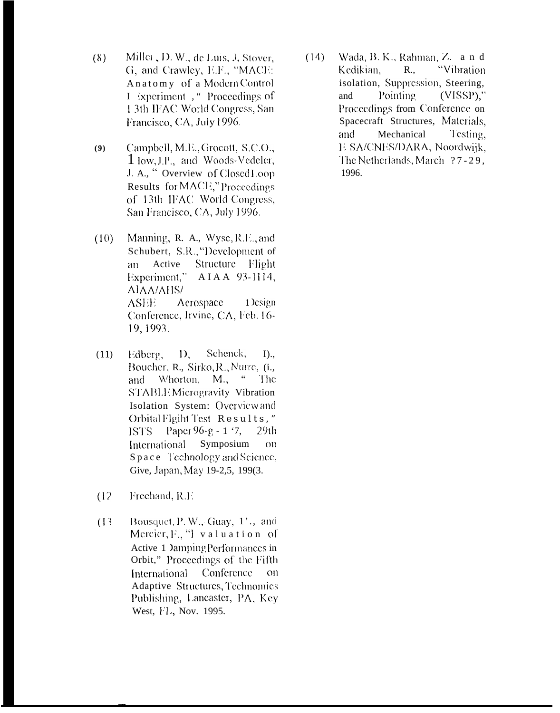- Miller, D. W., de Luis, J. Stover,  $(8)$ G, and Crawley, E.F., "MACE: Anatomy of a Modern Control I Experiment, "Proceedings of 13th IFAC World Congress, San Francisco, CA, July 1996.
- Campbell, M.E., Grocott, S.C.O.,  $(9)$ 1 low, J.P., and Woods-Vedeler, J. A., "Overview of Closed Loop Results for MACE," Proceedings of 13th IFAC World Congress, San Francisco, CA, July 1996.
- Manning, R. A., Wyse, R.E., and  $(10)$ Schubert, S.R., "Development of Structure Flight Active  $an$ AIAA 93-1114, Experiment," **AIAA/AHS/ ASEE** Aerospace 1 *csign* Conference, Irvine, CA, Feb. 16-19, 1993.
- Edberg,  $D_{\rm c}$ Schenck,  $(11)$  $I$ )., Boucher, R., Sirko, R., Nurre, (i., and Whorton, M., " The STABLEMicrogravity Vibration Isolation System: Overview and Orbital Flgiht Test Results," ISTS Paper 96-g - 1 '7,  $29<sub>th</sub>$ International Symposium  $_{\text{on}}$ Space Technology and Science, Give, Japan, May 19-2.5, 199(3.
- Freehand, R.E.  $(12)$
- Bousquet, P. W., Guay, 1'., and  $(13)$ Mercier, F., "I valuation of Active 1 Damping Performances in Orbit," Proceedings of the Fifth International Conference  $_{\rm OD}$ Adaptive Structures, Technomics Publishing, Lancaster, PA, Key West, FL, Nov. 1995.

Wada, B. K., Rahman, Z. a n d  $(14)$ R., "Vibration Kedikian, isolation, Suppression, Steering, and Pointing  $(VISSP)$ ." Proceedings from Conference on Spacecraft Structures, Materials, Mechanical and Testing, E SA/CNES/DARA, Noordwijk, The Netherlands, March ?7-29, 1996.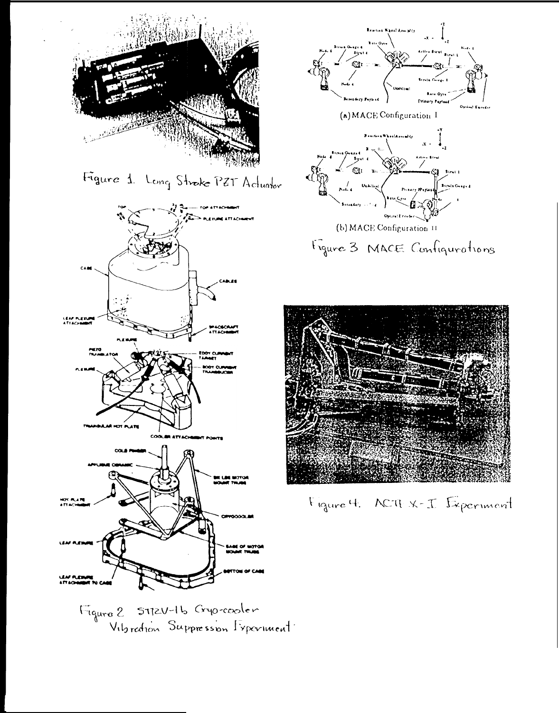

Figure 1. Long Stroke PET Actuator



Vitoration Suppression Experiment





Figure 4. ACTEX-I Experiment